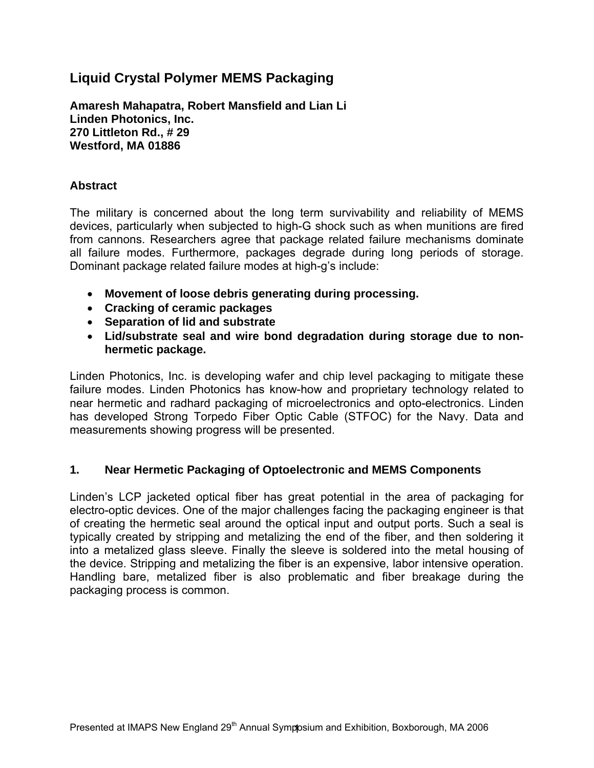# **Liquid Crystal Polymer MEMS Packaging**

**Amaresh Mahapatra, Robert Mansfield and Lian Li Linden Photonics, Inc. 270 Littleton Rd., # 29 Westford, MA 01886** 

### **Abstract**

The military is concerned about the long term survivability and reliability of MEMS devices, particularly when subjected to high-G shock such as when munitions are fired from cannons. Researchers agree that package related failure mechanisms dominate all failure modes. Furthermore, packages degrade during long periods of storage. Dominant package related failure modes at high-g's include:

- **Movement of loose debris generating during processing.**
- **Cracking of ceramic packages**
- **Separation of lid and substrate**
- **Lid/substrate seal and wire bond degradation during storage due to nonhermetic package.**

Linden Photonics, Inc. is developing wafer and chip level packaging to mitigate these failure modes. Linden Photonics has know-how and proprietary technology related to near hermetic and radhard packaging of microelectronics and opto-electronics. Linden has developed Strong Torpedo Fiber Optic Cable (STFOC) for the Navy. Data and measurements showing progress will be presented.

### **1. Near Hermetic Packaging of Optoelectronic and MEMS Components**

Linden's LCP jacketed optical fiber has great potential in the area of packaging for electro-optic devices. One of the major challenges facing the packaging engineer is that of creating the hermetic seal around the optical input and output ports. Such a seal is typically created by stripping and metalizing the end of the fiber, and then soldering it into a metalized glass sleeve. Finally the sleeve is soldered into the metal housing of the device. Stripping and metalizing the fiber is an expensive, labor intensive operation. Handling bare, metalized fiber is also problematic and fiber breakage during the packaging process is common.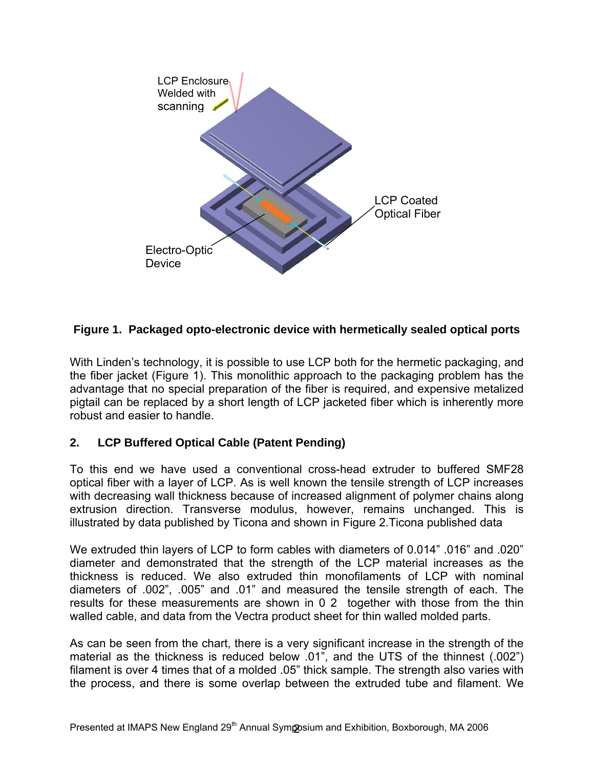

## **Figure 1. Packaged opto-electronic device with hermetically sealed optical ports**

With Linden's technology, it is possible to use LCP both for the hermetic packaging, and the fiber jacket (Figure 1). This monolithic approach to the packaging problem has the advantage that no special preparation of the fiber is required, and expensive metalized pigtail can be replaced by a short length of LCP jacketed fiber which is inherently more robust and easier to handle.

## **2. LCP Buffered Optical Cable (Patent Pending)**

To this end we have used a conventional cross-head extruder to buffered SMF28 optical fiber with a layer of LCP. As is well known the tensile strength of LCP increases with decreasing wall thickness because of increased alignment of polymer chains along extrusion direction. Transverse modulus, however, remains unchanged. This is illustrated by data published by Ticona and shown in Figure 2.Ticona published data

We extruded thin layers of LCP to form cables with diameters of 0.014" .016" and .020" diameter and demonstrated that the strength of the LCP material increases as the thickness is reduced. We also extruded thin monofilaments of LCP with nominal diameters of .002", .005" and .01" and measured the tensile strength of each. The results for these measurements are shown in 0 2 together with those from the thin walled cable, and data from the Vectra product sheet for thin walled molded parts.

As can be seen from the chart, there is a very significant increase in the strength of the material as the thickness is reduced below .01", and the UTS of the thinnest (.002") filament is over 4 times that of a molded .05" thick sample. The strength also varies with the process, and there is some overlap between the extruded tube and filament. We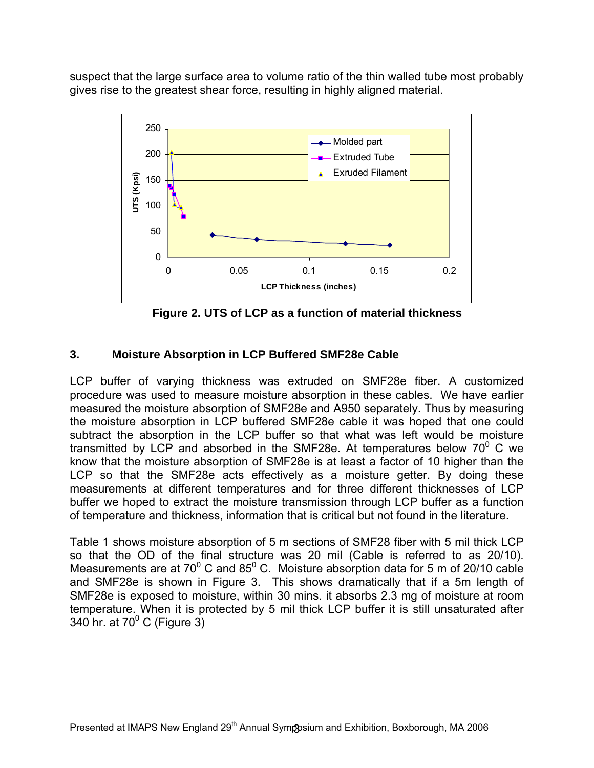suspect that the large surface area to volume ratio of the thin walled tube most probably gives rise to the greatest shear force, resulting in highly aligned material.



**Figure 2. UTS of LCP as a function of material thickness** 

## **3. Moisture Absorption in LCP Buffered SMF28e Cable**

LCP buffer of varying thickness was extruded on SMF28e fiber. A customized procedure was used to measure moisture absorption in these cables. We have earlier measured the moisture absorption of SMF28e and A950 separately. Thus by measuring the moisture absorption in LCP buffered SMF28e cable it was hoped that one could subtract the absorption in the LCP buffer so that what was left would be moisture transmitted by LCP and absorbed in the SMF28e. At temperatures below 70 $^{\circ}$  C we know that the moisture absorption of SMF28e is at least a factor of 10 higher than the LCP so that the SMF28e acts effectively as a moisture getter. By doing these measurements at different temperatures and for three different thicknesses of LCP buffer we hoped to extract the moisture transmission through LCP buffer as a function of temperature and thickness, information that is critical but not found in the literature.

Table 1 shows moisture absorption of 5 m sections of SMF28 fiber with 5 mil thick LCP so that the OD of the final structure was 20 mil (Cable is referred to as 20/10). Measurements are at 70 $^{\circ}$  C and 85 $^{\circ}$  C. Moisture absorption data for 5 m of 20/10 cable and SMF28e is shown in Figure 3. This shows dramatically that if a 5m length of SMF28e is exposed to moisture, within 30 mins. it absorbs 2.3 mg of moisture at room temperature. When it is protected by 5 mil thick LCP buffer it is still unsaturated after 340 hr. at 70 $^{\circ}$  C (Figure 3)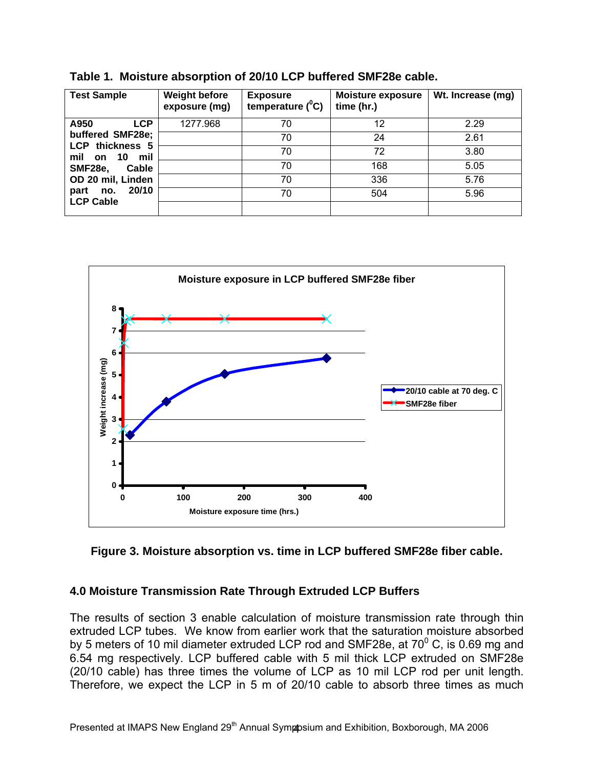| <b>Test Sample</b>                                                                                             | <b>Weight before</b><br>exposure (mg) | <b>Exposure</b><br>temperature $(^0C)$ | <b>Moisture exposure</b><br>time (hr.) | Wt. Increase (mg) |
|----------------------------------------------------------------------------------------------------------------|---------------------------------------|----------------------------------------|----------------------------------------|-------------------|
| <b>LCP</b><br>A950<br>buffered SMF28e;<br>LCP thickness 5<br>10<br>mil<br>mil<br>on<br><b>SMF28e.</b><br>Cable | 1277.968                              | 70                                     | 12                                     | 2.29              |
|                                                                                                                |                                       | 70                                     | 24                                     | 2.61              |
|                                                                                                                |                                       | 70                                     | 72                                     | 3.80              |
|                                                                                                                |                                       | 70                                     | 168                                    | 5.05              |
| OD 20 mil, Linden                                                                                              |                                       | 70                                     | 336                                    | 5.76              |
| 20/10<br>part<br>no.<br><b>LCP Cable</b>                                                                       |                                       | 70                                     | 504                                    | 5.96              |
|                                                                                                                |                                       |                                        |                                        |                   |

**Table 1. Moisture absorption of 20/10 LCP buffered SMF28e cable.** 



### **Figure 3. Moisture absorption vs. time in LCP buffered SMF28e fiber cable.**

### **4.0 Moisture Transmission Rate Through Extruded LCP Buffers**

The results of section 3 enable calculation of moisture transmission rate through thin extruded LCP tubes. We know from earlier work that the saturation moisture absorbed by 5 meters of 10 mil diameter extruded LCP rod and SMF28e, at 70 $^0$  C, is 0.69 mg and 6.54 mg respectively. LCP buffered cable with 5 mil thick LCP extruded on SMF28e (20/10 cable) has three times the volume of LCP as 10 mil LCP rod per unit length. Therefore, we expect the LCP in 5 m of 20/10 cable to absorb three times as much